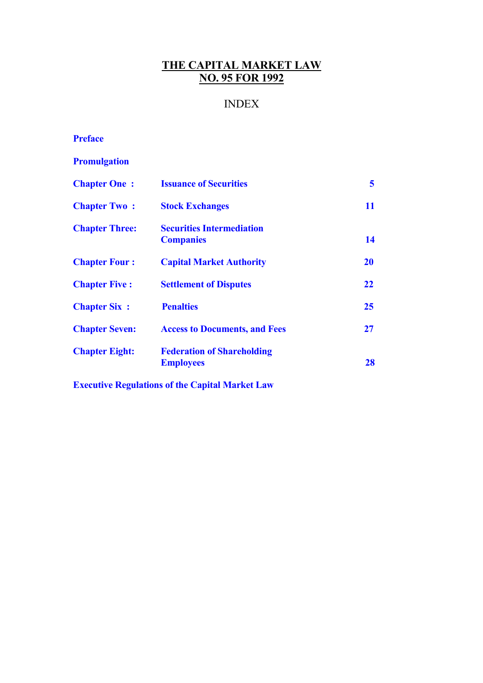# **THE CAPITAL MARKET LAW NO. 95 FOR 1992**

# INDEX

# **[Preface](#page-1-0)**

# **[Promulgation](#page-3-0)**

| <b>Chapter One:</b>   | <b>Issuance of Securities</b>                         | 5         |
|-----------------------|-------------------------------------------------------|-----------|
| <b>Chapter Two:</b>   | <b>Stock Exchanges</b>                                | 11        |
| <b>Chapter Three:</b> | <b>Securities Intermediation</b><br><b>Companies</b>  | 14        |
| <b>Chapter Four:</b>  | <b>Capital Market Authority</b>                       | <b>20</b> |
| <b>Chapter Five:</b>  | <b>Settlement of Disputes</b>                         | 22        |
| <b>Chapter Six:</b>   | <b>Penalties</b>                                      | 25        |
| <b>Chapter Seven:</b> | <b>Access to Documents, and Fees</b>                  | 27        |
| <b>Chapter Eight:</b> | <b>Federation of Shareholding</b><br><b>Employees</b> | 28        |

**Executive Regulations of the Capital Market Law**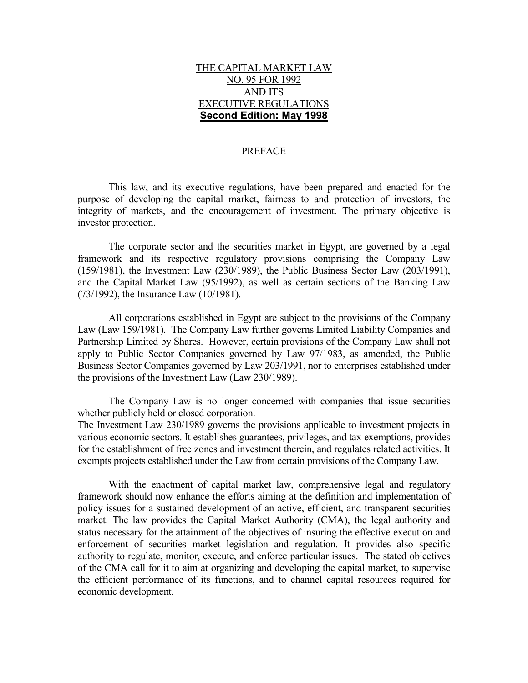### THE CAPITAL MARKET LAW NO. 95 FOR 1992 AND ITS EXECUTIVE REGULATIONS **Second Edition: May 1998**

#### PREFACE

<span id="page-1-0"></span> This law, and its executive regulations, have been prepared and enacted for the purpose of developing the capital market, fairness to and protection of investors, the integrity of markets, and the encouragement of investment. The primary objective is investor protection.

 The corporate sector and the securities market in Egypt, are governed by a legal framework and its respective regulatory provisions comprising the Company Law (159/1981), the Investment Law (230/1989), the Public Business Sector Law (203/1991), and the Capital Market Law (95/1992), as well as certain sections of the Banking Law (73/1992), the Insurance Law (10/1981).

 All corporations established in Egypt are subject to the provisions of the Company Law (Law 159/1981). The Company Law further governs Limited Liability Companies and Partnership Limited by Shares. However, certain provisions of the Company Law shall not apply to Public Sector Companies governed by Law 97/1983, as amended, the Public Business Sector Companies governed by Law 203/1991, nor to enterprises established under the provisions of the Investment Law (Law 230/1989).

 The Company Law is no longer concerned with companies that issue securities whether publicly held or closed corporation.

The Investment Law 230/1989 governs the provisions applicable to investment projects in various economic sectors. It establishes guarantees, privileges, and tax exemptions, provides for the establishment of free zones and investment therein, and regulates related activities. It exempts projects established under the Law from certain provisions of the Company Law.

 With the enactment of capital market law, comprehensive legal and regulatory framework should now enhance the efforts aiming at the definition and implementation of policy issues for a sustained development of an active, efficient, and transparent securities market. The law provides the Capital Market Authority (CMA), the legal authority and status necessary for the attainment of the objectives of insuring the effective execution and enforcement of securities market legislation and regulation. It provides also specific authority to regulate, monitor, execute, and enforce particular issues. The stated objectives of the CMA call for it to aim at organizing and developing the capital market, to supervise the efficient performance of its functions, and to channel capital resources required for economic development.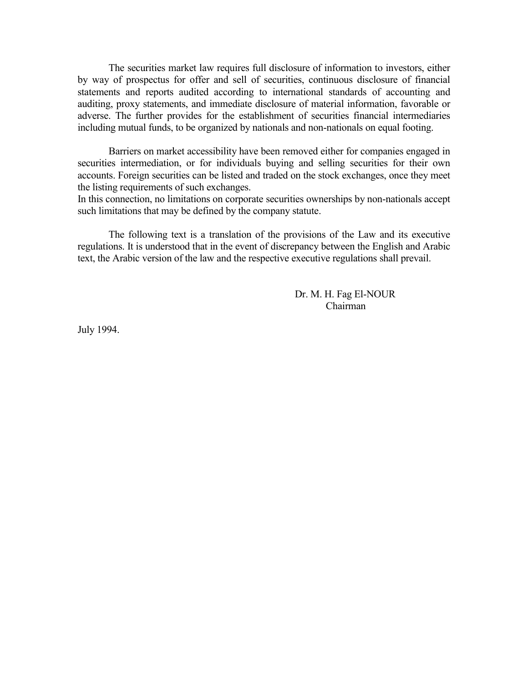The securities market law requires full disclosure of information to investors, either by way of prospectus for offer and sell of securities, continuous disclosure of financial statements and reports audited according to international standards of accounting and auditing, proxy statements, and immediate disclosure of material information, favorable or adverse. The further provides for the establishment of securities financial intermediaries including mutual funds, to be organized by nationals and non-nationals on equal footing.

 Barriers on market accessibility have been removed either for companies engaged in securities intermediation, or for individuals buying and selling securities for their own accounts. Foreign securities can be listed and traded on the stock exchanges, once they meet the listing requirements of such exchanges.

In this connection, no limitations on corporate securities ownerships by non-nationals accept such limitations that may be defined by the company statute.

 The following text is a translation of the provisions of the Law and its executive regulations. It is understood that in the event of discrepancy between the English and Arabic text, the Arabic version of the law and the respective executive regulations shall prevail.

> Dr. M. H. Fag El-NOUR Chairman

July 1994.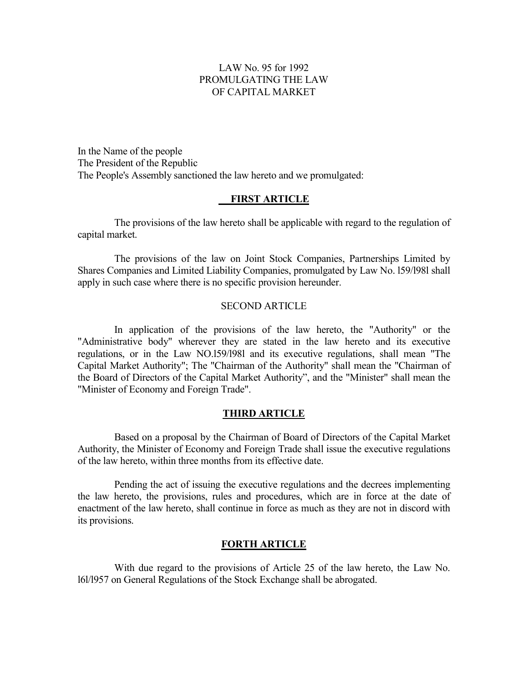### LAW No. 95 for 1992 PROMULGATING THE LAW OF CAPITAL MARKET

<span id="page-3-0"></span>In the Name of the people The President of the Republic The People's Assembly sanctioned the law hereto and we promulgated:

### **FIRST ARTICLE**

The provisions of the law hereto shall be applicable with regard to the regulation of capital market.

The provisions of the law on Joint Stock Companies, Partnerships Limited by Shares Companies and Limited Liability Companies, promulgated by Law No. l59/l98l shall apply in such case where there is no specific provision hereunder.

#### SECOND ARTICLE

In application of the provisions of the law hereto, the "Authority" or the "Administrative body" wherever they are stated in the law hereto and its executive regulations, or in the Law NO.l59/l98l and its executive regulations, shall mean "The Capital Market Authority"; The "Chairman of the Authority" shall mean the "Chairman of the Board of Directors of the Capital Market Authority", and the "Minister" shall mean the "Minister of Economy and Foreign Trade".

#### **THIRD ARTICLE**

Based on a proposal by the Chairman of Board of Directors of the Capital Market Authority, the Minister of Economy and Foreign Trade shall issue the executive regulations of the law hereto, within three months from its effective date.

Pending the act of issuing the executive regulations and the decrees implementing the law hereto, the provisions, rules and procedures, which are in force at the date of enactment of the law hereto, shall continue in force as much as they are not in discord with its provisions.

#### **FORTH ARTICLE**

With due regard to the provisions of Article 25 of the law hereto, the Law No. l6l/l957 on General Regulations of the Stock Exchange shall be abrogated.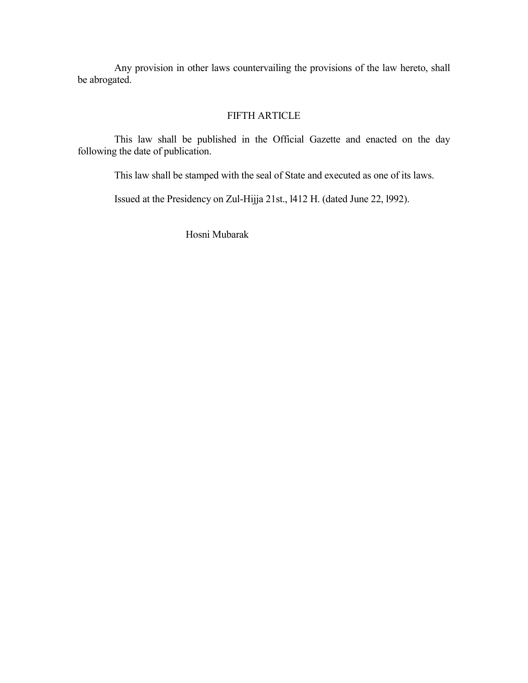Any provision in other laws countervailing the provisions of the law hereto, shall be abrogated.

### FIFTH ARTICLE

This law shall be published in the Official Gazette and enacted on the day following the date of publication.

This law shall be stamped with the seal of State and executed as one of its laws.

Issued at the Presidency on Zul-Hijja 21st., l412 H. (dated June 22, l992).

Hosni Mubarak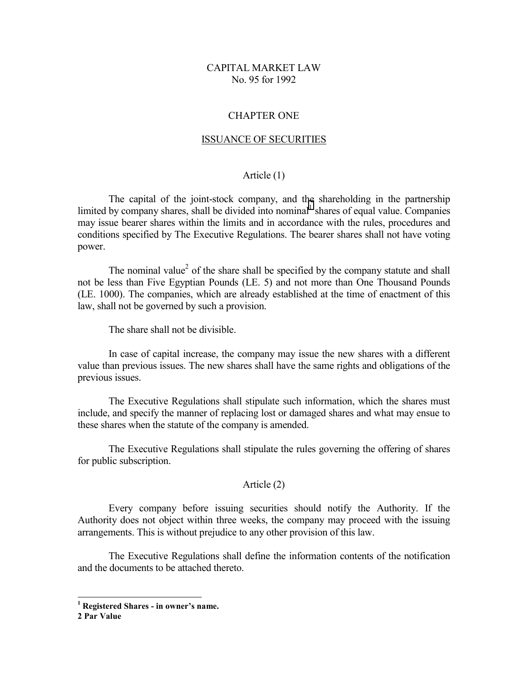### CAPITAL MARKET LAW No. 95 for 1992

#### CHAPTER ONE

#### ISSUANCE OF SECURITIES

### Article (1)

<span id="page-5-0"></span> The capital of the joint-stock company, and the shareholding in the partnership limited by company shares, shall be divided into nominal<sup>1</sup> shares of equal value. Companies may issue bearer shares within the limits and in accordance with the rules, procedures and conditions specified by The Executive Regulations. The bearer shares shall not have voting power.

The nominal value<sup>2</sup> of the share shall be specified by the company statute and shall not be less than Five Egyptian Pounds (LE. 5) and not more than One Thousand Pounds (LE. 1000). The companies, which are already established at the time of enactment of this law, shall not be governed by such a provision.

The share shall not be divisible.

 In case of capital increase, the company may issue the new shares with a different value than previous issues. The new shares shall have the same rights and obligations of the previous issues.

 The Executive Regulations shall stipulate such information, which the shares must include, and specify the manner of replacing lost or damaged shares and what may ensue to these shares when the statute of the company is amended.

 The Executive Regulations shall stipulate the rules governing the offering of shares for public subscription.

#### Article (2)

 Every company before issuing securities should notify the Authority. If the Authority does not object within three weeks, the company may proceed with the issuing arrangements. This is without prejudice to any other provision of this law.

 The Executive Regulations shall define the information contents of the notification and the documents to be attached thereto.

 $\overline{a}$ 

**<sup>1</sup> Registered Shares - in owner's name.** 

**<sup>2</sup> Par Value**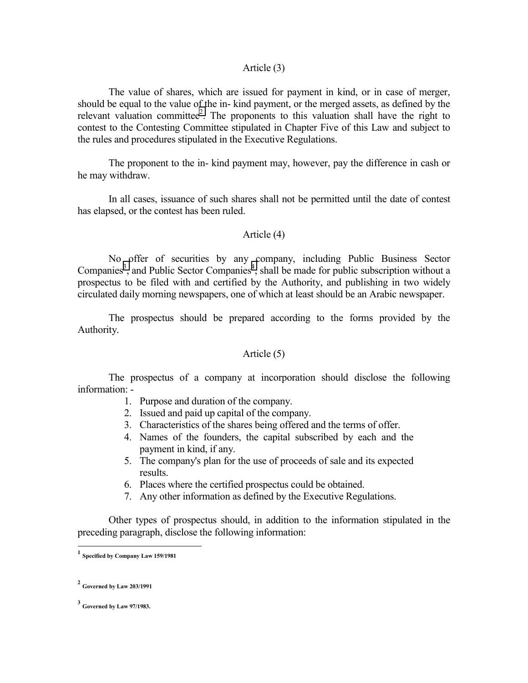#### Article (3)

 The value of shares, which are issued for payment in kind, or in case of merger, should be equal to the value of the in- kind payment, or the merged assets, as defined by the relevant valuation committee<sup>2</sup>. The proponents to this valuation shall have the right to contest to the Contesting Committee stipulated in Chapter Five of this Law and subject to the rules and procedures stipulated in the Executive Regulations.

 The proponent to the in- kind payment may, however, pay the difference in cash or he may withdraw.

 In all cases, issuance of such shares shall not be permitted until the date of contest has elapsed, or the contest has been ruled.

#### Article (4)

 No offer of securities by any company, including Public Business Sector Companies<sup>3</sup>, and Public Sector Companies<sup>4</sup>, shall be made for public subscription without a prospectus to be filed with and certified by the Authority, and publishing in two widely circulated daily morning newspapers, one of which at least should be an Arabic newspaper.

 The prospectus should be prepared according to the forms provided by the Authority.

#### Article (5)

 The prospectus of a company at incorporation should disclose the following information: -

- 1. Purpose and duration of the company.
- 2. Issued and paid up capital of the company.
- 3. Characteristics of the shares being offered and the terms of offer.
- 4. Names of the founders, the capital subscribed by each and the payment in kind, if any.
- 5. The company's plan for the use of proceeds of sale and its expected results.
- 6. Places where the certified prospectus could be obtained.
- 7. Any other information as defined by the Executive Regulations.

 Other types of prospectus should, in addition to the information stipulated in the preceding paragraph, disclose the following information:

l

**<sup>1</sup> Specified by Company Law 159/1981**

**<sup>2</sup> Governed by Law 203/1991**

**<sup>3</sup> Governed by Law 97/1983.**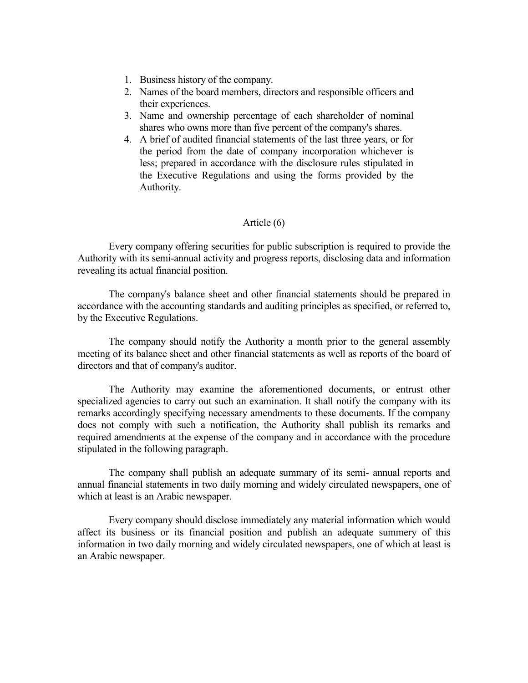- 1. Business history of the company.
- 2. Names of the board members, directors and responsible officers and their experiences.
- 3. Name and ownership percentage of each shareholder of nominal shares who owns more than five percent of the company's shares.
- 4. A brief of audited financial statements of the last three years, or for the period from the date of company incorporation whichever is less; prepared in accordance with the disclosure rules stipulated in the Executive Regulations and using the forms provided by the Authority.

### Article (6)

 Every company offering securities for public subscription is required to provide the Authority with its semi-annual activity and progress reports, disclosing data and information revealing its actual financial position.

 The company's balance sheet and other financial statements should be prepared in accordance with the accounting standards and auditing principles as specified, or referred to, by the Executive Regulations.

 The company should notify the Authority a month prior to the general assembly meeting of its balance sheet and other financial statements as well as reports of the board of directors and that of company's auditor.

 The Authority may examine the aforementioned documents, or entrust other specialized agencies to carry out such an examination. It shall notify the company with its remarks accordingly specifying necessary amendments to these documents. If the company does not comply with such a notification, the Authority shall publish its remarks and required amendments at the expense of the company and in accordance with the procedure stipulated in the following paragraph.

 The company shall publish an adequate summary of its semi- annual reports and annual financial statements in two daily morning and widely circulated newspapers, one of which at least is an Arabic newspaper.

 Every company should disclose immediately any material information which would affect its business or its financial position and publish an adequate summery of this information in two daily morning and widely circulated newspapers, one of which at least is an Arabic newspaper.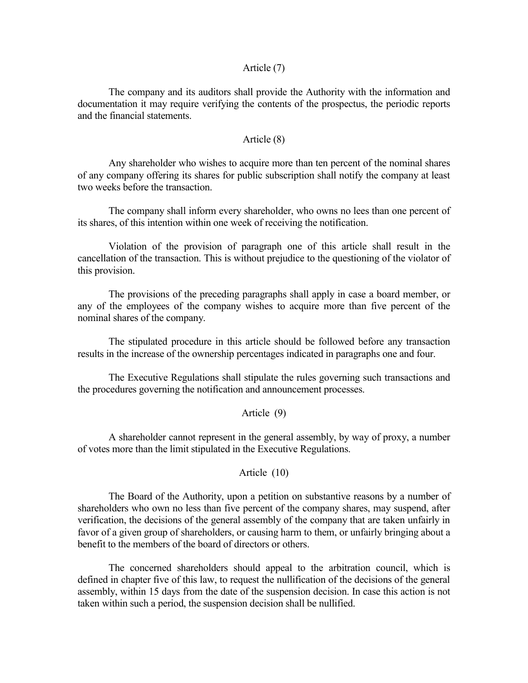#### Article (7)

 The company and its auditors shall provide the Authority with the information and documentation it may require verifying the contents of the prospectus, the periodic reports and the financial statements.

#### Article (8)

 Any shareholder who wishes to acquire more than ten percent of the nominal shares of any company offering its shares for public subscription shall notify the company at least two weeks before the transaction.

 The company shall inform every shareholder, who owns no lees than one percent of its shares, of this intention within one week of receiving the notification.

 Violation of the provision of paragraph one of this article shall result in the cancellation of the transaction. This is without prejudice to the questioning of the violator of this provision.

 The provisions of the preceding paragraphs shall apply in case a board member, or any of the employees of the company wishes to acquire more than five percent of the nominal shares of the company.

 The stipulated procedure in this article should be followed before any transaction results in the increase of the ownership percentages indicated in paragraphs one and four.

 The Executive Regulations shall stipulate the rules governing such transactions and the procedures governing the notification and announcement processes.

#### Article (9)

 A shareholder cannot represent in the general assembly, by way of proxy, a number of votes more than the limit stipulated in the Executive Regulations.

### Article (10)

 The Board of the Authority, upon a petition on substantive reasons by a number of shareholders who own no less than five percent of the company shares, may suspend, after verification, the decisions of the general assembly of the company that are taken unfairly in favor of a given group of shareholders, or causing harm to them, or unfairly bringing about a benefit to the members of the board of directors or others.

 The concerned shareholders should appeal to the arbitration council, which is defined in chapter five of this law, to request the nullification of the decisions of the general assembly, within 15 days from the date of the suspension decision. In case this action is not taken within such a period, the suspension decision shall be nullified.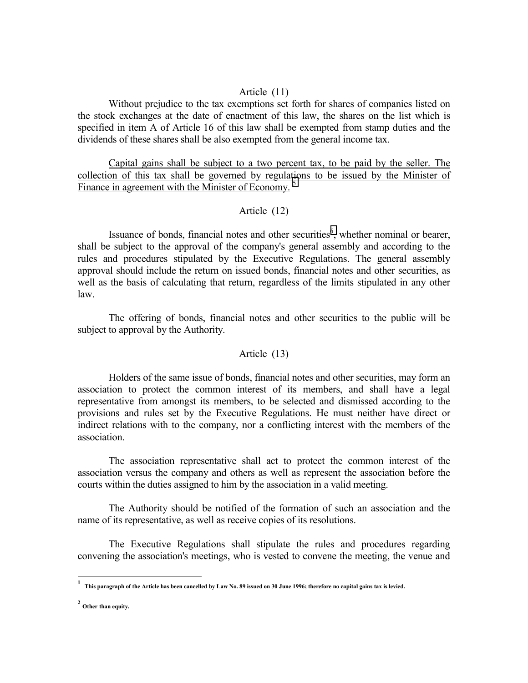### Article (11)

 Without prejudice to the tax exemptions set forth for shares of companies listed on the stock exchanges at the date of enactment of this law, the shares on the list which is specified in item A of Article 16 of this law shall be exempted from stamp duties and the dividends of these shares shall be also exempted from the general income tax.

 Capital gains shall be subject to a two percent tax, to be paid by the seller. The collection of this tax shall be governed by regulations to be issued by the Minister of Finance in agreement with the Minister of Economy.<sup>5</sup>

### Article (12)

Issuance of bonds, financial notes and other securities $<sup>6</sup>$ , whether nominal or bearer,</sup> shall be subject to the approval of the company's general assembly and according to the rules and procedures stipulated by the Executive Regulations. The general assembly approval should include the return on issued bonds, financial notes and other securities, as well as the basis of calculating that return, regardless of the limits stipulated in any other law.

 The offering of bonds, financial notes and other securities to the public will be subject to approval by the Authority.

#### Article (13)

 Holders of the same issue of bonds, financial notes and other securities, may form an association to protect the common interest of its members, and shall have a legal representative from amongst its members, to be selected and dismissed according to the provisions and rules set by the Executive Regulations. He must neither have direct or indirect relations with to the company, nor a conflicting interest with the members of the association.

 The association representative shall act to protect the common interest of the association versus the company and others as well as represent the association before the courts within the duties assigned to him by the association in a valid meeting.

 The Authority should be notified of the formation of such an association and the name of its representative, as well as receive copies of its resolutions.

 The Executive Regulations shall stipulate the rules and procedures regarding convening the association's meetings, who is vested to convene the meeting, the venue and

 **1 This paragraph of the Article has been cancelled by Law No. 89 issued on 30 June 1996; therefore no capital gains tax is levied.** 

**<sup>2</sup> Other than equity.**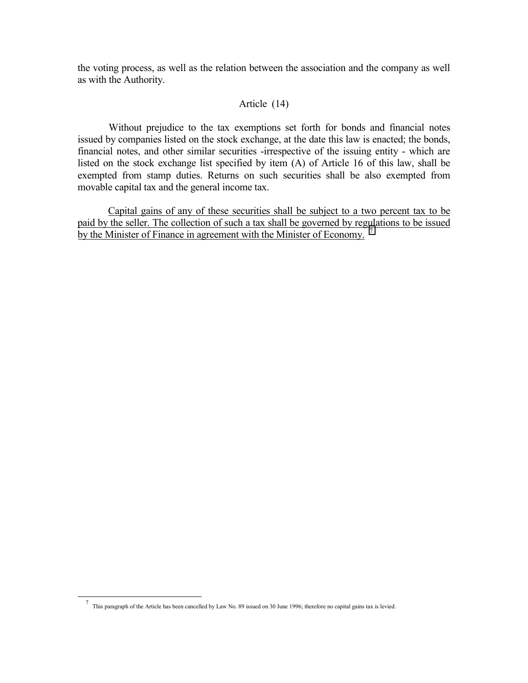the voting process, as well as the relation between the association and the company as well as with the Authority.

### Article (14)

 Without prejudice to the tax exemptions set forth for bonds and financial notes issued by companies listed on the stock exchange, at the date this law is enacted; the bonds, financial notes, and other similar securities -irrespective of the issuing entity - which are listed on the stock exchange list specified by item (A) of Article 16 of this law, shall be exempted from stamp duties. Returns on such securities shall be also exempted from movable capital tax and the general income tax.

Capital gains of any of these securities shall be subject to a two percent tax to be paid by the seller. The collection of such a tax shall be governed by regulations to be issued by the Minister of Finance in agreement with the Minister of Economy.

 $\overline{a}$ 

<sup>7</sup> This paragraph of the Article has been cancelled by Law No. 89 issued on 30 June 1996; therefore no capital gains tax is levied.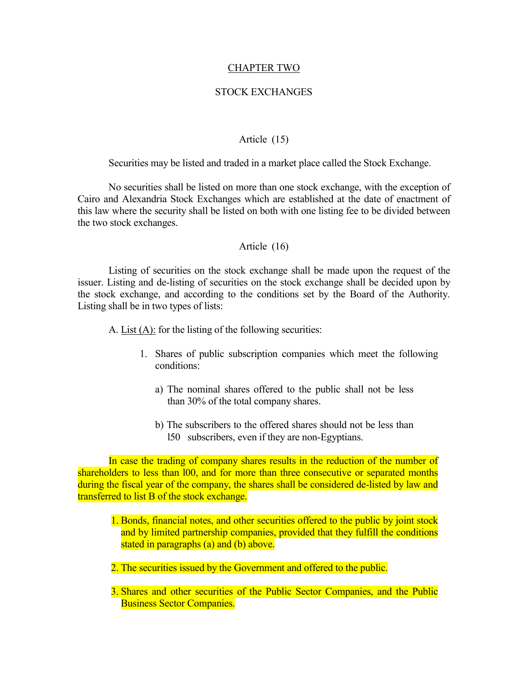#### CHAPTER TWO

#### STOCK EXCHANGES

#### Article (15)

<span id="page-11-0"></span>Securities may be listed and traded in a market place called the Stock Exchange.

 No securities shall be listed on more than one stock exchange, with the exception of Cairo and Alexandria Stock Exchanges which are established at the date of enactment of this law where the security shall be listed on both with one listing fee to be divided between the two stock exchanges.

#### Article (16)

 Listing of securities on the stock exchange shall be made upon the request of the issuer. Listing and de-listing of securities on the stock exchange shall be decided upon by the stock exchange, and according to the conditions set by the Board of the Authority. Listing shall be in two types of lists:

A. List (A): for the listing of the following securities:

- 1. Shares of public subscription companies which meet the following conditions:
	- a) The nominal shares offered to the public shall not be less than 30% of the total company shares.
	- b) The subscribers to the offered shares should not be less than l50 subscribers, even if they are non-Egyptians.

 In case the trading of company shares results in the reduction of the number of shareholders to less than 100, and for more than three consecutive or separated months during the fiscal year of the company, the shares shall be considered de-listed by law and transferred to list B of the stock exchange.

- 1. Bonds, financial notes, and other securities offered to the public by joint stock and by limited partnership companies, provided that they fulfill the conditions stated in paragraphs (a) and (b) above.
- 2. The securities issued by the Government and offered to the public.
- 3. Shares and other securities of the Public Sector Companies, and the Public Business Sector Companies.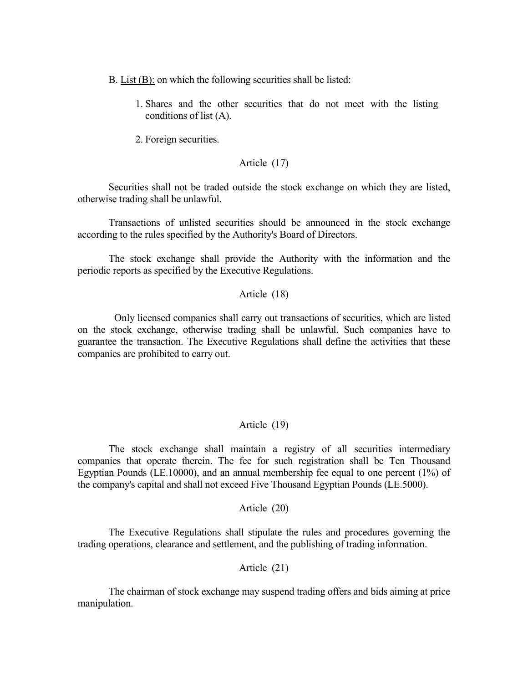- B. List (B): on which the following securities shall be listed:
	- 1. Shares and the other securities that do not meet with the listing conditions of list (A).
	- 2. Foreign securities.

### Article (17)

 Securities shall not be traded outside the stock exchange on which they are listed, otherwise trading shall be unlawful.

 Transactions of unlisted securities should be announced in the stock exchange according to the rules specified by the Authority's Board of Directors.

 The stock exchange shall provide the Authority with the information and the periodic reports as specified by the Executive Regulations.

### Article (18)

Only licensed companies shall carry out transactions of securities, which are listed on the stock exchange, otherwise trading shall be unlawful. Such companies have to guarantee the transaction. The Executive Regulations shall define the activities that these companies are prohibited to carry out.

### Article (19)

 The stock exchange shall maintain a registry of all securities intermediary companies that operate therein. The fee for such registration shall be Ten Thousand Egyptian Pounds (LE.10000), and an annual membership fee equal to one percent (1%) of the company's capital and shall not exceed Five Thousand Egyptian Pounds (LE.5000).

### Article (20)

 The Executive Regulations shall stipulate the rules and procedures governing the trading operations, clearance and settlement, and the publishing of trading information.

Article (21)

 The chairman of stock exchange may suspend trading offers and bids aiming at price manipulation.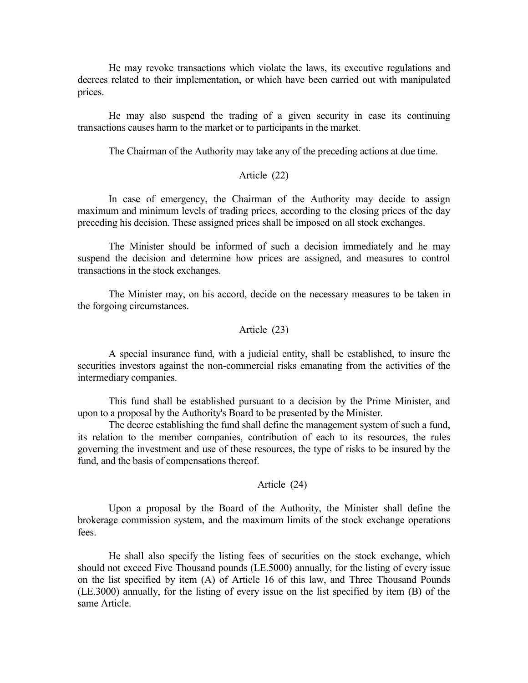He may revoke transactions which violate the laws, its executive regulations and decrees related to their implementation, or which have been carried out with manipulated prices.

 He may also suspend the trading of a given security in case its continuing transactions causes harm to the market or to participants in the market.

The Chairman of the Authority may take any of the preceding actions at due time.

### Article (22)

 In case of emergency, the Chairman of the Authority may decide to assign maximum and minimum levels of trading prices, according to the closing prices of the day preceding his decision. These assigned prices shall be imposed on all stock exchanges.

 The Minister should be informed of such a decision immediately and he may suspend the decision and determine how prices are assigned, and measures to control transactions in the stock exchanges.

 The Minister may, on his accord, decide on the necessary measures to be taken in the forgoing circumstances.

#### Article (23)

 A special insurance fund, with a judicial entity, shall be established, to insure the securities investors against the non-commercial risks emanating from the activities of the intermediary companies.

 This fund shall be established pursuant to a decision by the Prime Minister, and upon to a proposal by the Authority's Board to be presented by the Minister.

 The decree establishing the fund shall define the management system of such a fund, its relation to the member companies, contribution of each to its resources, the rules governing the investment and use of these resources, the type of risks to be insured by the fund, and the basis of compensations thereof.

#### Article (24)

 Upon a proposal by the Board of the Authority, the Minister shall define the brokerage commission system, and the maximum limits of the stock exchange operations fees.

 He shall also specify the listing fees of securities on the stock exchange, which should not exceed Five Thousand pounds (LE.5000) annually, for the listing of every issue on the list specified by item (A) of Article 16 of this law, and Three Thousand Pounds (LE.3000) annually, for the listing of every issue on the list specified by item (B) of the same Article.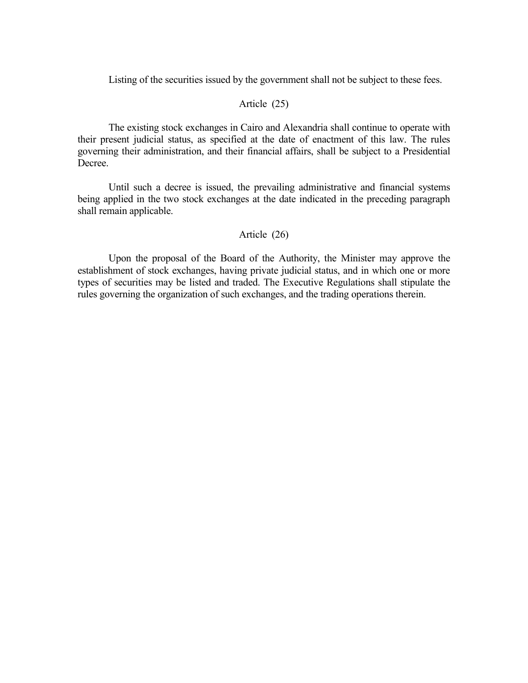Listing of the securities issued by the government shall not be subject to these fees.

### Article (25)

 The existing stock exchanges in Cairo and Alexandria shall continue to operate with their present judicial status, as specified at the date of enactment of this law. The rules governing their administration, and their financial affairs, shall be subject to a Presidential Decree.

 Until such a decree is issued, the prevailing administrative and financial systems being applied in the two stock exchanges at the date indicated in the preceding paragraph shall remain applicable.

### Article (26)

 Upon the proposal of the Board of the Authority, the Minister may approve the establishment of stock exchanges, having private judicial status, and in which one or more types of securities may be listed and traded. The Executive Regulations shall stipulate the rules governing the organization of such exchanges, and the trading operations therein.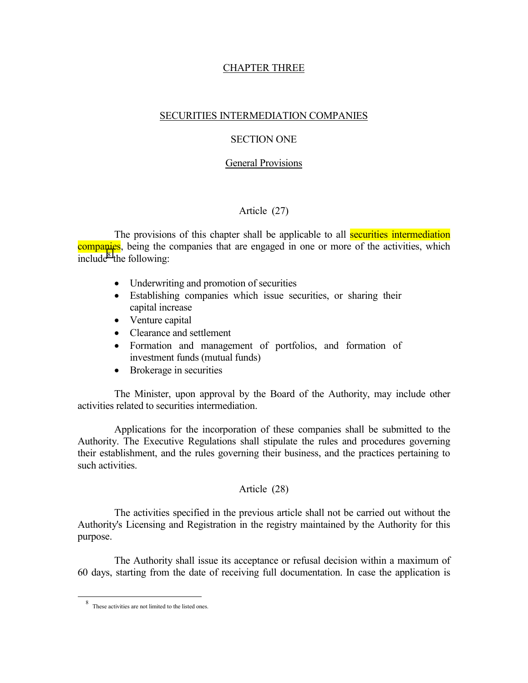### CHAPTER THREE

### <span id="page-15-0"></span>SECURITIES INTERMEDIATION COMPANIES

### SECTION ONE

#### General Provisions

### Article (27)

The provisions of this chapter shall be applicable to all **securities intermediation** companies, being the companies that are engaged in one or more of the activities, which  $include^8$  the following:

- Underwriting and promotion of securities
- Establishing companies which issue securities, or sharing their capital increase
- Venture capital
- Clearance and settlement
- Formation and management of portfolios, and formation of investment funds (mutual funds)
- Brokerage in securities

The Minister, upon approval by the Board of the Authority, may include other activities related to securities intermediation.

Applications for the incorporation of these companies shall be submitted to the Authority. The Executive Regulations shall stipulate the rules and procedures governing their establishment, and the rules governing their business, and the practices pertaining to such activities.

### Article (28)

The activities specified in the previous article shall not be carried out without the Authority's Licensing and Registration in the registry maintained by the Authority for this purpose.

The Authority shall issue its acceptance or refusal decision within a maximum of 60 days, starting from the date of receiving full documentation. In case the application is

 $\overline{a}$ 

<sup>8</sup> These activities are not limited to the listed ones.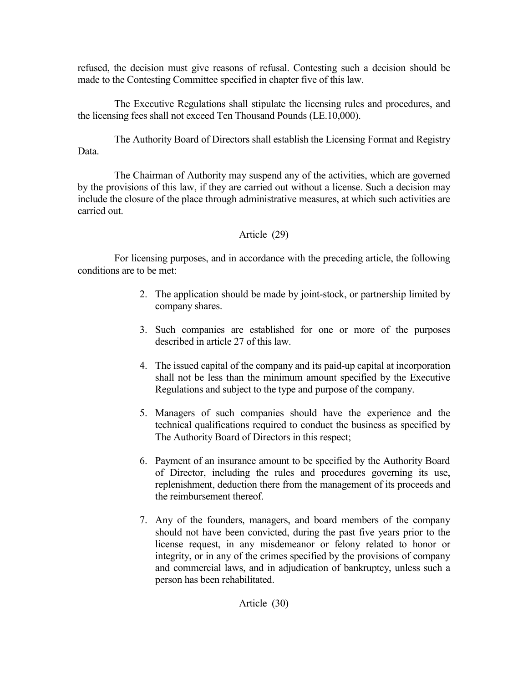refused, the decision must give reasons of refusal. Contesting such a decision should be made to the Contesting Committee specified in chapter five of this law.

The Executive Regulations shall stipulate the licensing rules and procedures, and the licensing fees shall not exceed Ten Thousand Pounds (LE.10,000).

The Authority Board of Directors shall establish the Licensing Format and Registry Data.

The Chairman of Authority may suspend any of the activities, which are governed by the provisions of this law, if they are carried out without a license. Such a decision may include the closure of the place through administrative measures, at which such activities are carried out.

# Article (29)

For licensing purposes, and in accordance with the preceding article, the following conditions are to be met:

- 2. The application should be made by joint-stock, or partnership limited by company shares.
- 3. Such companies are established for one or more of the purposes described in article 27 of this law.
- 4. The issued capital of the company and its paid-up capital at incorporation shall not be less than the minimum amount specified by the Executive Regulations and subject to the type and purpose of the company.
- 5. Managers of such companies should have the experience and the technical qualifications required to conduct the business as specified by The Authority Board of Directors in this respect;
- 6. Payment of an insurance amount to be specified by the Authority Board of Director, including the rules and procedures governing its use, replenishment, deduction there from the management of its proceeds and the reimbursement thereof.
- 7. Any of the founders, managers, and board members of the company should not have been convicted, during the past five years prior to the license request, in any misdemeanor or felony related to honor or integrity, or in any of the crimes specified by the provisions of company and commercial laws, and in adjudication of bankruptcy, unless such a person has been rehabilitated.

Article (30)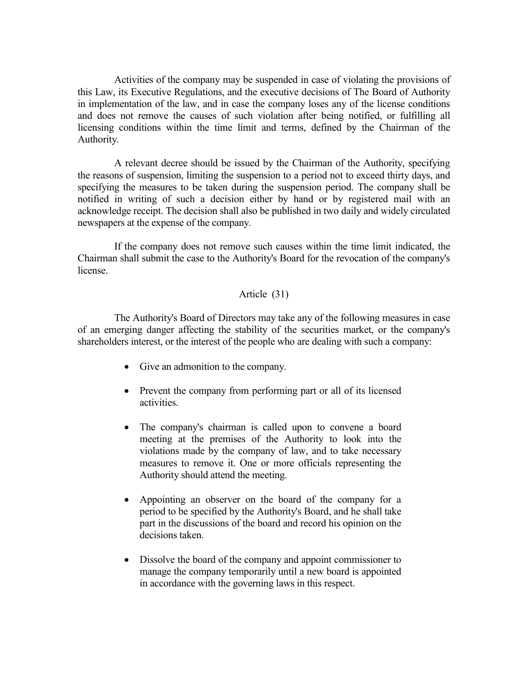Activities of the company may be suspended in case of violating the provisions of this Law, its Executive Regulations, and the executive decisions of The Board of Authority in implementation of the law, and in case the company loses any of the license conditions and does not remove the causes of such violation after being notified, or fulfilling all licensing conditions within the time limit and terms, defined by the Chairman of the Authority.

A relevant decree should be issued by the Chairman of the Authority, specifying the reasons of suspension, limiting the suspension to a period not to exceed thirty days, and specifying the measures to be taken during the suspension period. The company shall be notified in writing of such a decision either by hand or by registered mail with an acknowledge receipt. The decision shall also be published in two daily and widely circulated newspapers at the expense of the company.

If the company does not remove such causes within the time limit indicated, the Chairman shall submit the case to the Authority's Board for the revocation of the company's license.

### Article (31)

The Authority's Board of Directors may take any of the following measures in case of an emerging danger affecting the stability of the securities market, or the company's shareholders interest, or the interest of the people who are dealing with such a company:

- Give an admonition to the company.
- Prevent the company from performing part or all of its licensed activities.
- The company's chairman is called upon to convene a board meeting at the premises of the Authority to look into the violations made by the company of law, and to take necessary measures to remove it. One or more officials representing the Authority should attend the meeting.
- Appointing an observer on the board of the company for a period to be specified by the Authority's Board, and he shall take part in the discussions of the board and record his opinion on the decisions taken.
- Dissolve the board of the company and appoint commissioner to manage the company temporarily until a new board is appointed in accordance with the governing laws in this respect.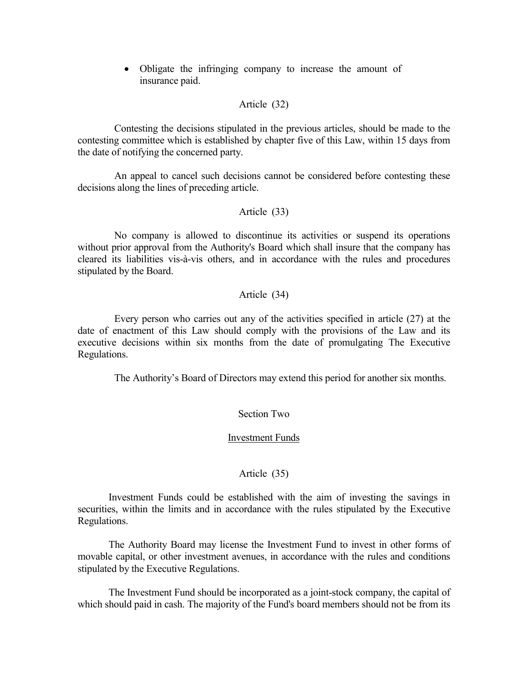• Obligate the infringing company to increase the amount of insurance paid.

### Article (32)

Contesting the decisions stipulated in the previous articles, should be made to the contesting committee which is established by chapter five of this Law, within 15 days from the date of notifying the concerned party.

An appeal to cancel such decisions cannot be considered before contesting these decisions along the lines of preceding article.

#### Article (33)

No company is allowed to discontinue its activities or suspend its operations without prior approval from the Authority's Board which shall insure that the company has cleared its liabilities vis-à-vis others, and in accordance with the rules and procedures stipulated by the Board.

### Article (34)

Every person who carries out any of the activities specified in article (27) at the date of enactment of this Law should comply with the provisions of the Law and its executive decisions within six months from the date of promulgating The Executive Regulations.

The Authority's Board of Directors may extend this period for another six months.

### Section Two

#### Investment Funds

### Article (35)

 Investment Funds could be established with the aim of investing the savings in securities, within the limits and in accordance with the rules stipulated by the Executive Regulations.

 The Authority Board may license the Investment Fund to invest in other forms of movable capital, or other investment avenues, in accordance with the rules and conditions stipulated by the Executive Regulations.

 The Investment Fund should be incorporated as a joint-stock company, the capital of which should paid in cash. The majority of the Fund's board members should not be from its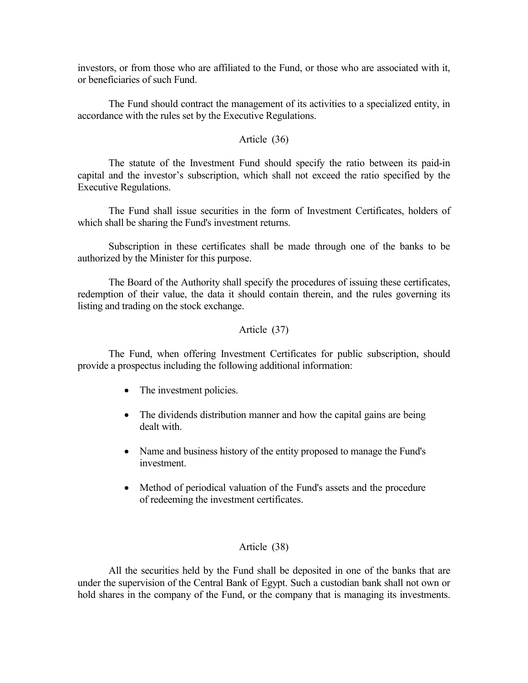investors, or from those who are affiliated to the Fund, or those who are associated with it, or beneficiaries of such Fund.

 The Fund should contract the management of its activities to a specialized entity, in accordance with the rules set by the Executive Regulations.

### Article (36)

 The statute of the Investment Fund should specify the ratio between its paid-in capital and the investor's subscription, which shall not exceed the ratio specified by the Executive Regulations.

 The Fund shall issue securities in the form of Investment Certificates, holders of which shall be sharing the Fund's investment returns.

 Subscription in these certificates shall be made through one of the banks to be authorized by the Minister for this purpose.

 The Board of the Authority shall specify the procedures of issuing these certificates, redemption of their value, the data it should contain therein, and the rules governing its listing and trading on the stock exchange.

### Article (37)

 The Fund, when offering Investment Certificates for public subscription, should provide a prospectus including the following additional information:

- The investment policies.
- The dividends distribution manner and how the capital gains are being dealt with.
- Name and business history of the entity proposed to manage the Fund's investment.
- Method of periodical valuation of the Fund's assets and the procedure of redeeming the investment certificates.

### Article (38)

 All the securities held by the Fund shall be deposited in one of the banks that are under the supervision of the Central Bank of Egypt. Such a custodian bank shall not own or hold shares in the company of the Fund, or the company that is managing its investments.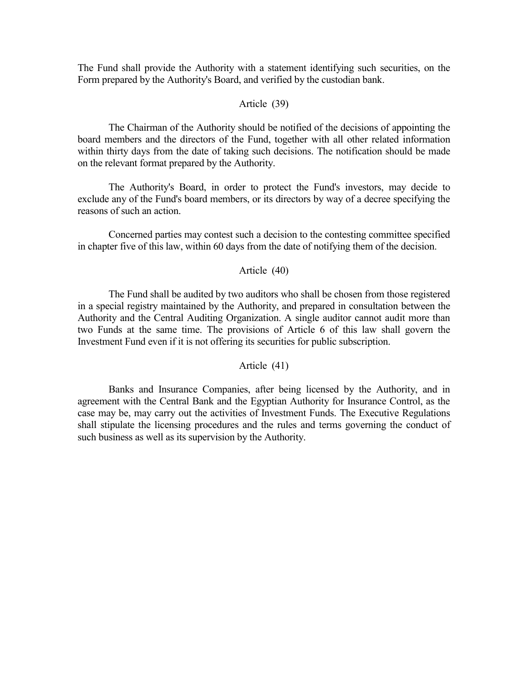The Fund shall provide the Authority with a statement identifying such securities, on the Form prepared by the Authority's Board, and verified by the custodian bank.

### Article (39)

 The Chairman of the Authority should be notified of the decisions of appointing the board members and the directors of the Fund, together with all other related information within thirty days from the date of taking such decisions. The notification should be made on the relevant format prepared by the Authority.

 The Authority's Board, in order to protect the Fund's investors, may decide to exclude any of the Fund's board members, or its directors by way of a decree specifying the reasons of such an action.

 Concerned parties may contest such a decision to the contesting committee specified in chapter five of this law, within 60 days from the date of notifying them of the decision.

### Article (40)

 The Fund shall be audited by two auditors who shall be chosen from those registered in a special registry maintained by the Authority, and prepared in consultation between the Authority and the Central Auditing Organization. A single auditor cannot audit more than two Funds at the same time. The provisions of Article 6 of this law shall govern the Investment Fund even if it is not offering its securities for public subscription.

### Article (41)

 Banks and Insurance Companies, after being licensed by the Authority, and in agreement with the Central Bank and the Egyptian Authority for Insurance Control, as the case may be, may carry out the activities of Investment Funds. The Executive Regulations shall stipulate the licensing procedures and the rules and terms governing the conduct of such business as well as its supervision by the Authority.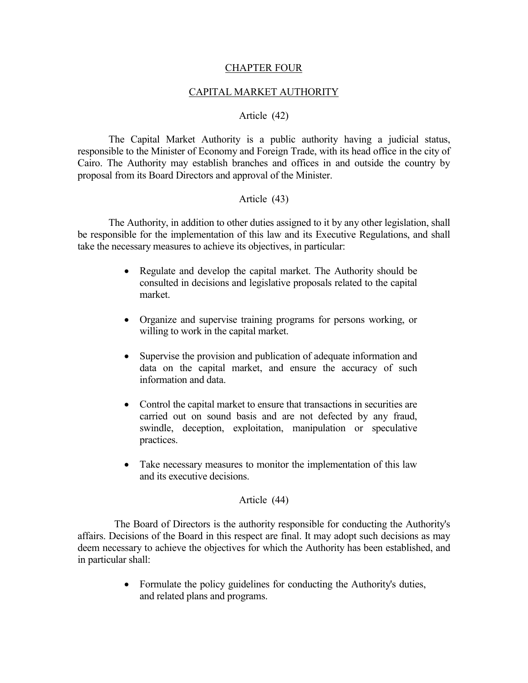### CHAPTER FOUR

### CAPITAL MARKET AUTHORITY

### Article (42)

<span id="page-21-0"></span> The Capital Market Authority is a public authority having a judicial status, responsible to the Minister of Economy and Foreign Trade, with its head office in the city of Cairo. The Authority may establish branches and offices in and outside the country by proposal from its Board Directors and approval of the Minister.

### Article (43)

 The Authority, in addition to other duties assigned to it by any other legislation, shall be responsible for the implementation of this law and its Executive Regulations, and shall take the necessary measures to achieve its objectives, in particular:

- Regulate and develop the capital market. The Authority should be consulted in decisions and legislative proposals related to the capital market.
- Organize and supervise training programs for persons working, or willing to work in the capital market.
- Supervise the provision and publication of adequate information and data on the capital market, and ensure the accuracy of such information and data.
- Control the capital market to ensure that transactions in securities are carried out on sound basis and are not defected by any fraud, swindle, deception, exploitation, manipulation or speculative practices.
- Take necessary measures to monitor the implementation of this law and its executive decisions.

### Article (44)

The Board of Directors is the authority responsible for conducting the Authority's affairs. Decisions of the Board in this respect are final. It may adopt such decisions as may deem necessary to achieve the objectives for which the Authority has been established, and in particular shall:

> • Formulate the policy guidelines for conducting the Authority's duties, and related plans and programs.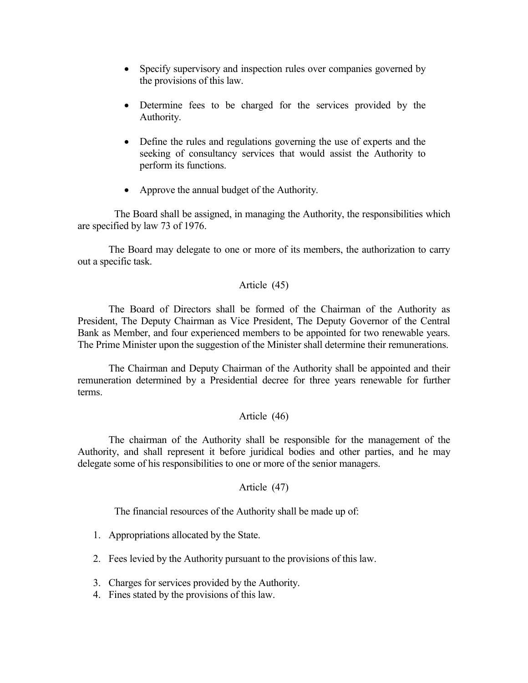- Specify supervisory and inspection rules over companies governed by the provisions of this law.
- Determine fees to be charged for the services provided by the Authority.
- Define the rules and regulations governing the use of experts and the seeking of consultancy services that would assist the Authority to perform its functions.
- Approve the annual budget of the Authority.

The Board shall be assigned, in managing the Authority, the responsibilities which are specified by law 73 of 1976.

 The Board may delegate to one or more of its members, the authorization to carry out a specific task.

### Article (45)

 The Board of Directors shall be formed of the Chairman of the Authority as President, The Deputy Chairman as Vice President, The Deputy Governor of the Central Bank as Member, and four experienced members to be appointed for two renewable years. The Prime Minister upon the suggestion of the Minister shall determine their remunerations.

 The Chairman and Deputy Chairman of the Authority shall be appointed and their remuneration determined by a Presidential decree for three years renewable for further terms.

### Article (46)

 The chairman of the Authority shall be responsible for the management of the Authority, and shall represent it before juridical bodies and other parties, and he may delegate some of his responsibilities to one or more of the senior managers.

### Article (47)

The financial resources of the Authority shall be made up of:

- 1. Appropriations allocated by the State.
- 2. Fees levied by the Authority pursuant to the provisions of this law.
- 3. Charges for services provided by the Authority.
- 4. Fines stated by the provisions of this law.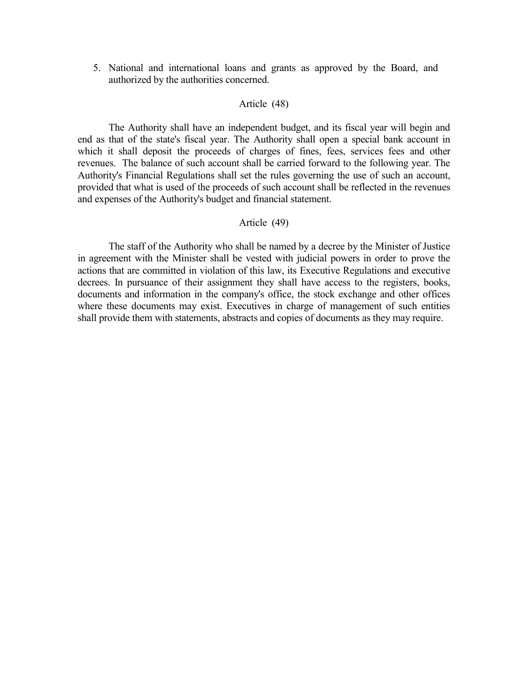5. National and international loans and grants as approved by the Board, and authorized by the authorities concerned.

### Article (48)

 The Authority shall have an independent budget, and its fiscal year will begin and end as that of the state's fiscal year. The Authority shall open a special bank account in which it shall deposit the proceeds of charges of fines, fees, services fees and other revenues. The balance of such account shall be carried forward to the following year. The Authority's Financial Regulations shall set the rules governing the use of such an account, provided that what is used of the proceeds of such account shall be reflected in the revenues and expenses of the Authority's budget and financial statement.

#### Article (49)

 The staff of the Authority who shall be named by a decree by the Minister of Justice in agreement with the Minister shall be vested with judicial powers in order to prove the actions that are committed in violation of this law, its Executive Regulations and executive decrees. In pursuance of their assignment they shall have access to the registers, books, documents and information in the company's office, the stock exchange and other offices where these documents may exist. Executives in charge of management of such entities shall provide them with statements, abstracts and copies of documents as they may require.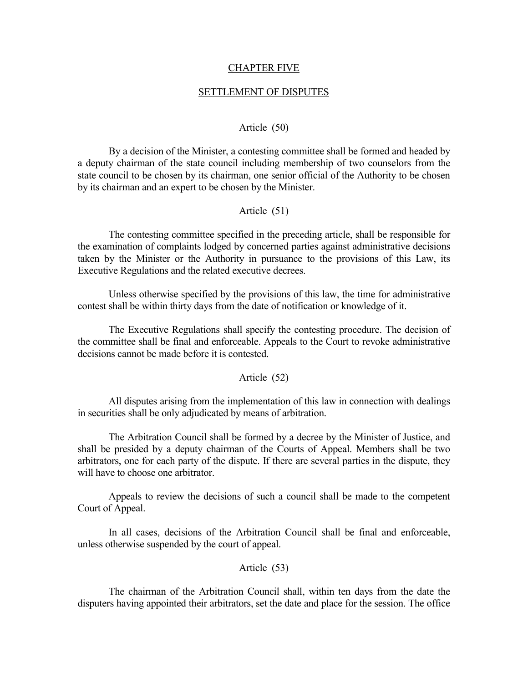#### CHAPTER FIVE

#### SETTLEMENT OF DISPUTES

#### Article (50)

<span id="page-24-0"></span> By a decision of the Minister, a contesting committee shall be formed and headed by a deputy chairman of the state council including membership of two counselors from the state council to be chosen by its chairman, one senior official of the Authority to be chosen by its chairman and an expert to be chosen by the Minister.

#### Article (51)

 The contesting committee specified in the preceding article, shall be responsible for the examination of complaints lodged by concerned parties against administrative decisions taken by the Minister or the Authority in pursuance to the provisions of this Law, its Executive Regulations and the related executive decrees.

 Unless otherwise specified by the provisions of this law, the time for administrative contest shall be within thirty days from the date of notification or knowledge of it.

 The Executive Regulations shall specify the contesting procedure. The decision of the committee shall be final and enforceable. Appeals to the Court to revoke administrative decisions cannot be made before it is contested.

#### Article (52)

 All disputes arising from the implementation of this law in connection with dealings in securities shall be only adjudicated by means of arbitration.

 The Arbitration Council shall be formed by a decree by the Minister of Justice, and shall be presided by a deputy chairman of the Courts of Appeal. Members shall be two arbitrators, one for each party of the dispute. If there are several parties in the dispute, they will have to choose one arbitrator.

 Appeals to review the decisions of such a council shall be made to the competent Court of Appeal.

 In all cases, decisions of the Arbitration Council shall be final and enforceable, unless otherwise suspended by the court of appeal.

Article (53)

 The chairman of the Arbitration Council shall, within ten days from the date the disputers having appointed their arbitrators, set the date and place for the session. The office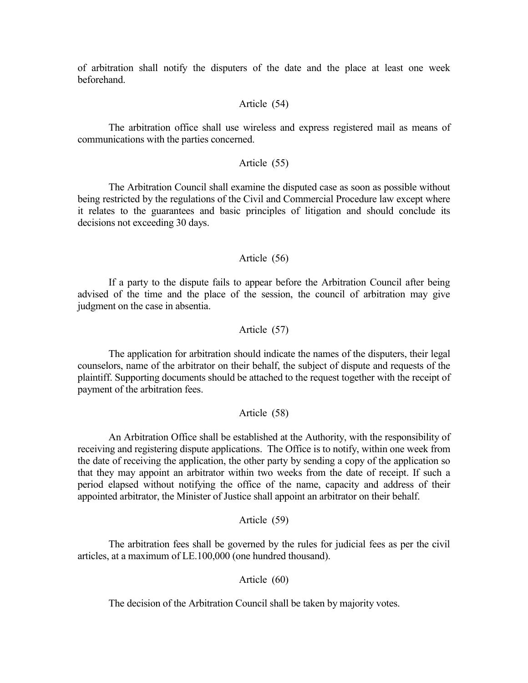of arbitration shall notify the disputers of the date and the place at least one week beforehand.

### Article (54)

 The arbitration office shall use wireless and express registered mail as means of communications with the parties concerned.

### Article (55)

 The Arbitration Council shall examine the disputed case as soon as possible without being restricted by the regulations of the Civil and Commercial Procedure law except where it relates to the guarantees and basic principles of litigation and should conclude its decisions not exceeding 30 days.

### Article (56)

 If a party to the dispute fails to appear before the Arbitration Council after being advised of the time and the place of the session, the council of arbitration may give judgment on the case in absentia.

### Article (57)

 The application for arbitration should indicate the names of the disputers, their legal counselors, name of the arbitrator on their behalf, the subject of dispute and requests of the plaintiff. Supporting documents should be attached to the request together with the receipt of payment of the arbitration fees.

### Article (58)

 An Arbitration Office shall be established at the Authority, with the responsibility of receiving and registering dispute applications. The Office is to notify, within one week from the date of receiving the application, the other party by sending a copy of the application so that they may appoint an arbitrator within two weeks from the date of receipt. If such a period elapsed without notifying the office of the name, capacity and address of their appointed arbitrator, the Minister of Justice shall appoint an arbitrator on their behalf.

#### Article (59)

 The arbitration fees shall be governed by the rules for judicial fees as per the civil articles, at a maximum of LE.100,000 (one hundred thousand).

#### Article (60)

The decision of the Arbitration Council shall be taken by majority votes.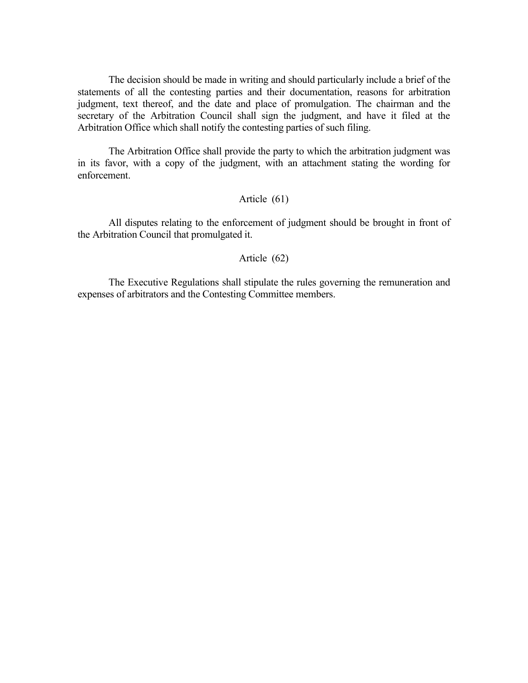The decision should be made in writing and should particularly include a brief of the statements of all the contesting parties and their documentation, reasons for arbitration judgment, text thereof, and the date and place of promulgation. The chairman and the secretary of the Arbitration Council shall sign the judgment, and have it filed at the Arbitration Office which shall notify the contesting parties of such filing.

 The Arbitration Office shall provide the party to which the arbitration judgment was in its favor, with a copy of the judgment, with an attachment stating the wording for enforcement.

### Article (61)

 All disputes relating to the enforcement of judgment should be brought in front of the Arbitration Council that promulgated it.

### Article (62)

 The Executive Regulations shall stipulate the rules governing the remuneration and expenses of arbitrators and the Contesting Committee members.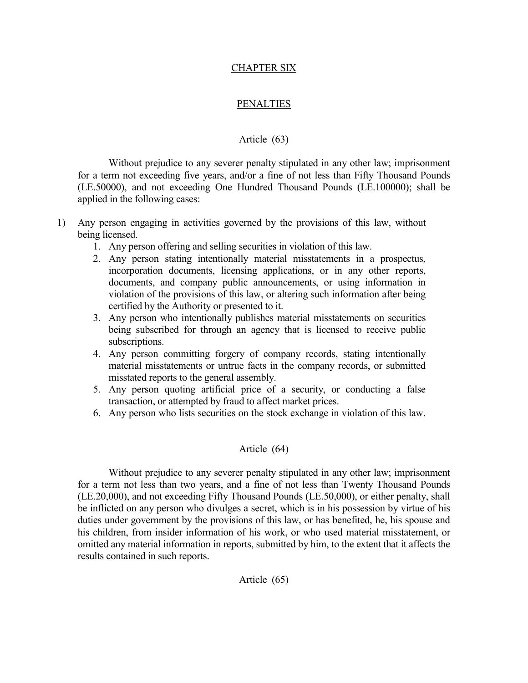### CHAPTER SIX

### PENALTIES

### Article (63)

<span id="page-27-0"></span> Without prejudice to any severer penalty stipulated in any other law; imprisonment for a term not exceeding five years, and/or a fine of not less than Fifty Thousand Pounds (LE.50000), and not exceeding One Hundred Thousand Pounds (LE.100000); shall be applied in the following cases:

- 1) Any person engaging in activities governed by the provisions of this law, without being licensed.
	- 1. Any person offering and selling securities in violation of this law.
	- 2. Any person stating intentionally material misstatements in a prospectus, incorporation documents, licensing applications, or in any other reports, documents, and company public announcements, or using information in violation of the provisions of this law, or altering such information after being certified by the Authority or presented to it.
	- 3. Any person who intentionally publishes material misstatements on securities being subscribed for through an agency that is licensed to receive public subscriptions.
	- 4. Any person committing forgery of company records, stating intentionally material misstatements or untrue facts in the company records, or submitted misstated reports to the general assembly.
	- 5. Any person quoting artificial price of a security, or conducting a false transaction, or attempted by fraud to affect market prices.
	- 6. Any person who lists securities on the stock exchange in violation of this law.

#### Article (64)

 Without prejudice to any severer penalty stipulated in any other law; imprisonment for a term not less than two years, and a fine of not less than Twenty Thousand Pounds (LE.20,000), and not exceeding Fifty Thousand Pounds (LE.50,000), or either penalty, shall be inflicted on any person who divulges a secret, which is in his possession by virtue of his duties under government by the provisions of this law, or has benefited, he, his spouse and his children, from insider information of his work, or who used material misstatement, or omitted any material information in reports, submitted by him, to the extent that it affects the results contained in such reports.

#### Article (65)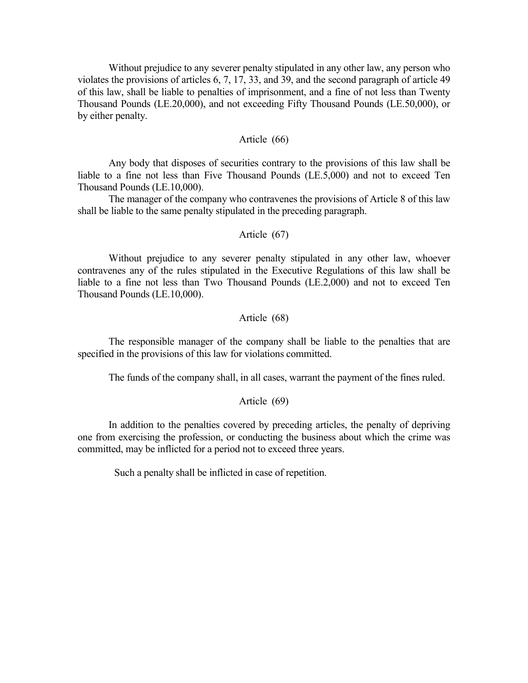Without prejudice to any severer penalty stipulated in any other law, any person who violates the provisions of articles 6, 7, 17, 33, and 39, and the second paragraph of article 49 of this law, shall be liable to penalties of imprisonment, and a fine of not less than Twenty Thousand Pounds (LE.20,000), and not exceeding Fifty Thousand Pounds (LE.50,000), or by either penalty.

#### Article (66)

 Any body that disposes of securities contrary to the provisions of this law shall be liable to a fine not less than Five Thousand Pounds (LE.5,000) and not to exceed Ten Thousand Pounds (LE.10,000).

 The manager of the company who contravenes the provisions of Article 8 of this law shall be liable to the same penalty stipulated in the preceding paragraph.

#### Article (67)

 Without prejudice to any severer penalty stipulated in any other law, whoever contravenes any of the rules stipulated in the Executive Regulations of this law shall be liable to a fine not less than Two Thousand Pounds (LE.2,000) and not to exceed Ten Thousand Pounds (LE.10,000).

### Article (68)

 The responsible manager of the company shall be liable to the penalties that are specified in the provisions of this law for violations committed.

The funds of the company shall, in all cases, warrant the payment of the fines ruled.

#### Article (69)

 In addition to the penalties covered by preceding articles, the penalty of depriving one from exercising the profession, or conducting the business about which the crime was committed, may be inflicted for a period not to exceed three years.

Such a penalty shall be inflicted in case of repetition.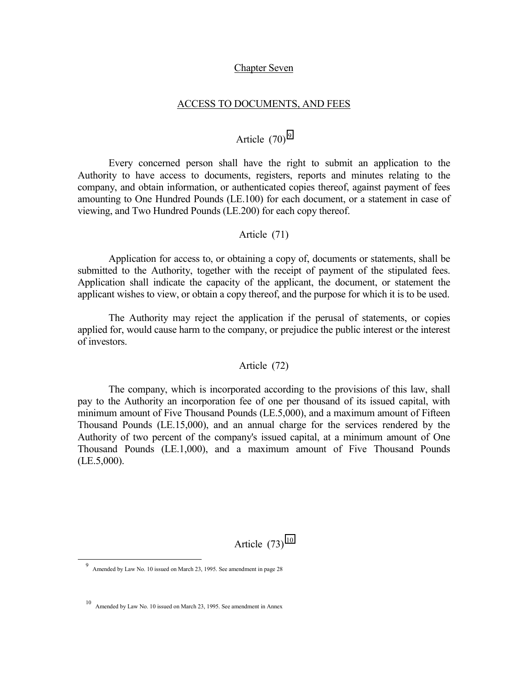#### Chapter Seven

#### ACCESS TO DOCUMENTS, AND FEES

# Article  $(70)$ <sup>9</sup>

<span id="page-29-0"></span> Every concerned person shall have the right to submit an application to the Authority to have access to documents, registers, reports and minutes relating to the company, and obtain information, or authenticated copies thereof, against payment of fees amounting to One Hundred Pounds (LE.100) for each document, or a statement in case of viewing, and Two Hundred Pounds (LE.200) for each copy thereof.

### Article (71)

 Application for access to, or obtaining a copy of, documents or statements, shall be submitted to the Authority, together with the receipt of payment of the stipulated fees. Application shall indicate the capacity of the applicant, the document, or statement the applicant wishes to view, or obtain a copy thereof, and the purpose for which it is to be used.

 The Authority may reject the application if the perusal of statements, or copies applied for, would cause harm to the company, or prejudice the public interest or the interest of investors.

### Article (72)

 The company, which is incorporated according to the provisions of this law, shall pay to the Authority an incorporation fee of one per thousand of its issued capital, with minimum amount of Five Thousand Pounds (LE.5,000), and a maximum amount of Fifteen Thousand Pounds (LE.15,000), and an annual charge for the services rendered by the Authority of two percent of the company's issued capital, at a minimum amount of One Thousand Pounds (LE.1,000), and a maximum amount of Five Thousand Pounds  $(LE.5,000).$ 

Article  $(73)$ <sup>10</sup>

 $\overline{a}$ 

<sup>9</sup> Amended by Law No. 10 issued on March 23, 1995. See amendment in page 28

10 Amended by Law No. 10 issued on March 23, 1995. See amendment in Annex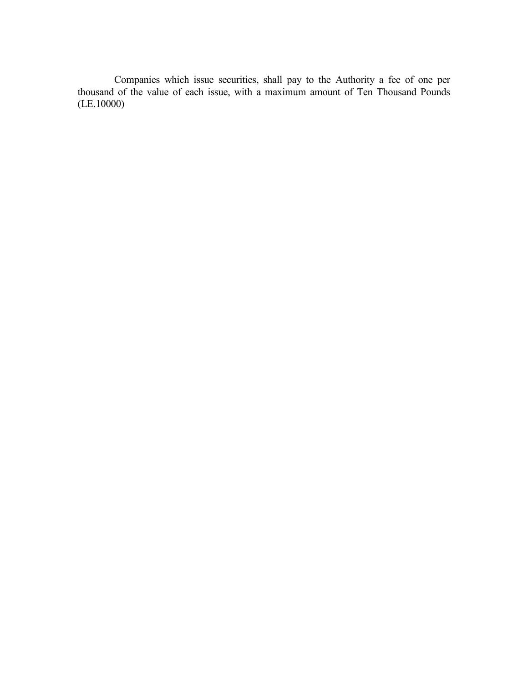Companies which issue securities, shall pay to the Authority a fee of one per thousand of the value of each issue, with a maximum amount of Ten Thousand Pounds (LE.10000)